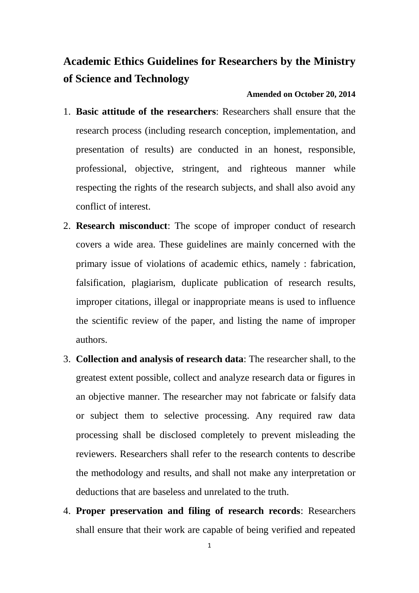## **Academic Ethics Guidelines for Researchers by the Ministry of Science and Technology**

## **Amended on October 20, 2014**

- 1. **Basic attitude of the researchers**: Researchers shall ensure that the research process (including research conception, implementation, and presentation of results) are conducted in an honest, responsible, professional, objective, stringent, and righteous manner while respecting the rights of the research subjects, and shall also avoid any conflict of interest.
- 2. **Research misconduct**: The scope of improper conduct of research covers a wide area. These guidelines are mainly concerned with the primary issue of violations of academic ethics, namely : fabrication, falsification, plagiarism, duplicate publication of research results, improper citations, illegal or inappropriate means is used to influence the scientific review of the paper, and listing the name of improper authors.
- 3. **Collection and analysis of research data**: The researcher shall, to the greatest extent possible, collect and analyze research data or figures in an objective manner. The researcher may not fabricate or falsify data or subject them to selective processing. Any required raw data processing shall be disclosed completely to prevent misleading the reviewers. Researchers shall refer to the research contents to describe the methodology and results, and shall not make any interpretation or deductions that are baseless and unrelated to the truth.
- 4. **Proper preservation and filing of research records**: Researchers shall ensure that their work are capable of being verified and repeated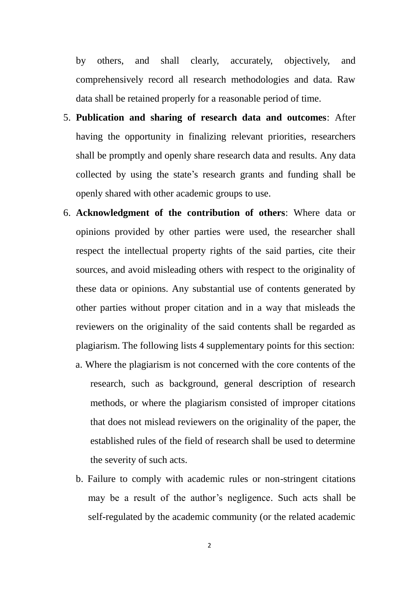by others, and shall clearly, accurately, objectively, and comprehensively record all research methodologies and data. Raw data shall be retained properly for a reasonable period of time.

- 5. **Publication and sharing of research data and outcomes**: After having the opportunity in finalizing relevant priorities, researchers shall be promptly and openly share research data and results. Any data collected by using the state's research grants and funding shall be openly shared with other academic groups to use.
- 6. **Acknowledgment of the contribution of others**: Where data or opinions provided by other parties were used, the researcher shall respect the intellectual property rights of the said parties, cite their sources, and avoid misleading others with respect to the originality of these data or opinions. Any substantial use of contents generated by other parties without proper citation and in a way that misleads the reviewers on the originality of the said contents shall be regarded as plagiarism. The following lists 4 supplementary points for this section:
	- a. Where the plagiarism is not concerned with the core contents of the research, such as background, general description of research methods, or where the plagiarism consisted of improper citations that does not mislead reviewers on the originality of the paper, the established rules of the field of research shall be used to determine the severity of such acts.
	- b. Failure to comply with academic rules or non-stringent citations may be a result of the author's negligence. Such acts shall be self-regulated by the academic community (or the related academic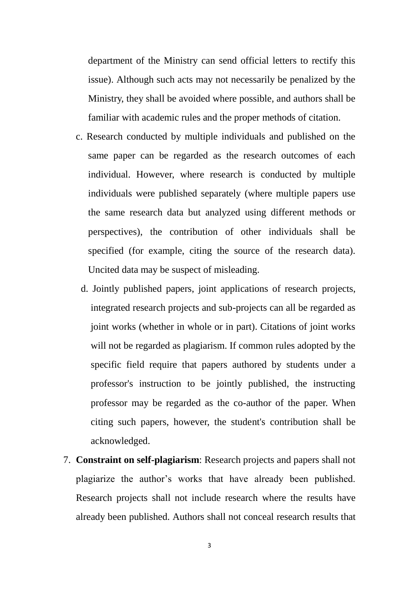department of the Ministry can send official letters to rectify this issue). Although such acts may not necessarily be penalized by the Ministry, they shall be avoided where possible, and authors shall be familiar with academic rules and the proper methods of citation.

- c. Research conducted by multiple individuals and published on the same paper can be regarded as the research outcomes of each individual. However, where research is conducted by multiple individuals were published separately (where multiple papers use the same research data but analyzed using different methods or perspectives), the contribution of other individuals shall be specified (for example, citing the source of the research data). Uncited data may be suspect of misleading.
- d. Jointly published papers, joint applications of research projects, integrated research projects and sub-projects can all be regarded as joint works (whether in whole or in part). Citations of joint works will not be regarded as plagiarism. If common rules adopted by the specific field require that papers authored by students under a professor's instruction to be jointly published, the instructing professor may be regarded as the co-author of the paper. When citing such papers, however, the student's contribution shall be acknowledged.
- 7. **Constraint on self-plagiarism**: Research projects and papers shall not plagiarize the author's works that have already been published. Research projects shall not include research where the results have already been published. Authors shall not conceal research results that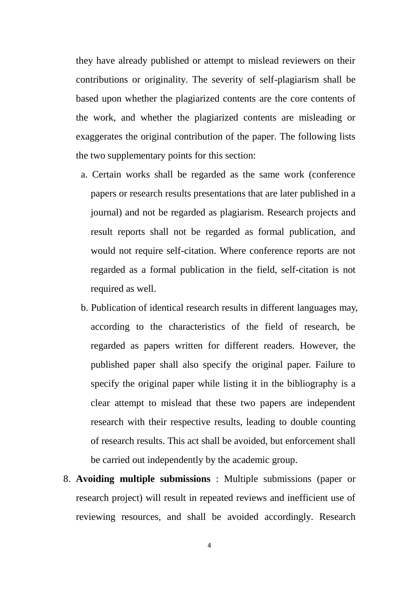they have already published or attempt to mislead reviewers on their contributions or originality. The severity of self-plagiarism shall be based upon whether the plagiarized contents are the core contents of the work, and whether the plagiarized contents are misleading or exaggerates the original contribution of the paper. The following lists the two supplementary points for this section:

- a. Certain works shall be regarded as the same work (conference papers or research results presentations that are later published in a journal) and not be regarded as plagiarism. Research projects and result reports shall not be regarded as formal publication, and would not require self-citation. Where conference reports are not regarded as a formal publication in the field, self-citation is not required as well.
- b. Publication of identical research results in different languages may, according to the characteristics of the field of research, be regarded as papers written for different readers. However, the published paper shall also specify the original paper. Failure to specify the original paper while listing it in the bibliography is a clear attempt to mislead that these two papers are independent research with their respective results, leading to double counting of research results. This act shall be avoided, but enforcement shall be carried out independently by the academic group.
- 8. **Avoiding multiple submissions** : Multiple submissions (paper or research project) will result in repeated reviews and inefficient use of reviewing resources, and shall be avoided accordingly. Research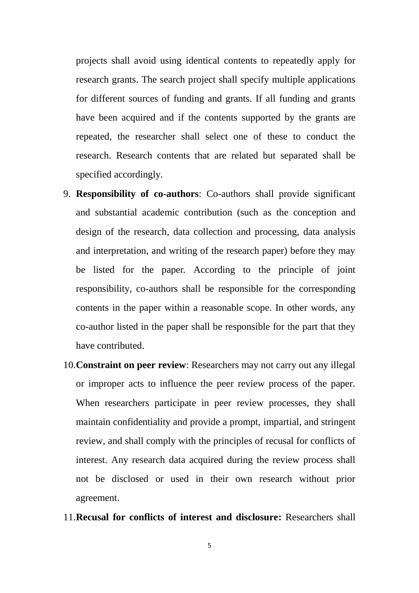projects shall avoid using identical contents to repeatedly apply for research grants. The search project shall specify multiple applications for different sources of funding and grants. If all funding and grants have been acquired and if the contents supported by the grants are repeated, the researcher shall select one of these to conduct the research. Research contents that are related but separated shall be specified accordingly.

- 9. **Responsibility of co-authors**: Co-authors shall provide significant and substantial academic contribution (such as the conception and design of the research, data collection and processing, data analysis and interpretation, and writing of the research paper) before they may be listed for the paper. According to the principle of joint responsibility, co-authors shall be responsible for the corresponding contents in the paper within a reasonable scope. In other words, any co-author listed in the paper shall be responsible for the part that they have contributed.
- 10.**Constraint on peer review**: Researchers may not carry out any illegal or improper acts to influence the peer review process of the paper. When researchers participate in peer review processes, they shall maintain confidentiality and provide a prompt, impartial, and stringent review, and shall comply with the principles of recusal for conflicts of interest. Any research data acquired during the review process shall not be disclosed or used in their own research without prior agreement.
- 11.**Recusal for conflicts of interest and disclosure:** Researchers shall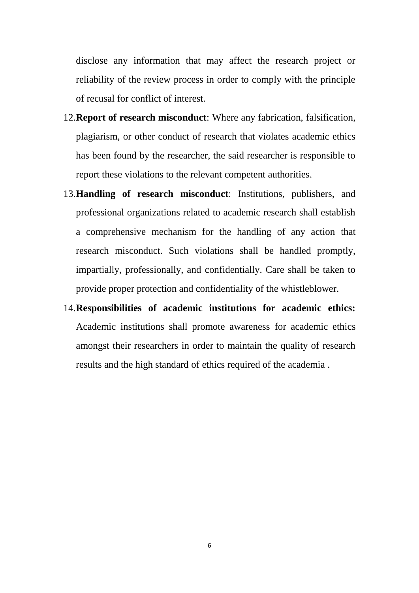disclose any information that may affect the research project or reliability of the review process in order to comply with the principle of recusal for conflict of interest.

- 12.**Report of research misconduct**: Where any fabrication, falsification, plagiarism, or other conduct of research that violates academic ethics has been found by the researcher, the said researcher is responsible to report these violations to the relevant competent authorities.
- 13.**Handling of research misconduct**: Institutions, publishers, and professional organizations related to academic research shall establish a comprehensive mechanism for the handling of any action that research misconduct. Such violations shall be handled promptly, impartially, professionally, and confidentially. Care shall be taken to provide proper protection and confidentiality of the whistleblower.
- 14.**Responsibilities of academic institutions for academic ethics:** Academic institutions shall promote awareness for academic ethics amongst their researchers in order to maintain the quality of research results and the high standard of ethics required of the academia .